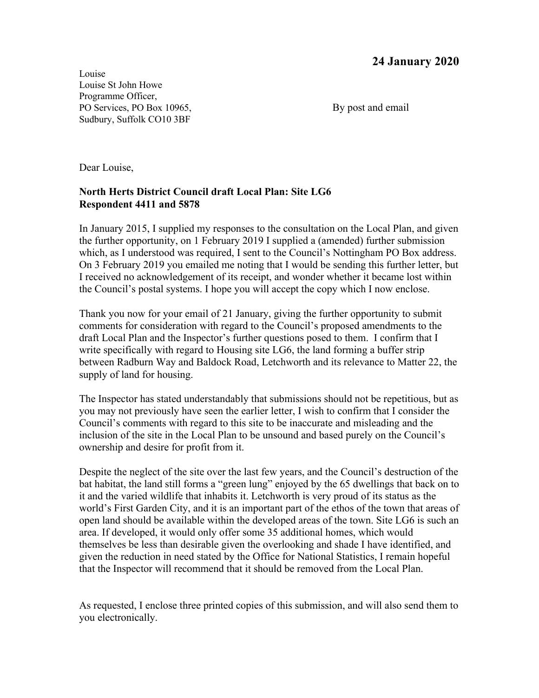Louise Louise St John Howe Programme Officer, PO Services, PO Box 10965, By post and email Sudbury, Suffolk CO10 3BF

Dear Louise,

## **North Herts District Council draft Local Plan: Site LG6 Respondent 4411 and 5878**

In January 2015, I supplied my responses to the consultation on the Local Plan, and given the further opportunity, on 1 February 2019 I supplied a (amended) further submission which, as I understood was required, I sent to the Council's Nottingham PO Box address. On 3 February 2019 you emailed me noting that I would be sending this further letter, but I received no acknowledgement of its receipt, and wonder whether it became lost within the Council's postal systems. I hope you will accept the copy which I now enclose.

Thank you now for your email of 21 January, giving the further opportunity to submit comments for consideration with regard to the Council's proposed amendments to the draft Local Plan and the Inspector's further questions posed to them. I confirm that I write specifically with regard to Housing site LG6, the land forming a buffer strip between Radburn Way and Baldock Road, Letchworth and its relevance to Matter 22, the supply of land for housing.

The Inspector has stated understandably that submissions should not be repetitious, but as you may not previously have seen the earlier letter, I wish to confirm that I consider the Council's comments with regard to this site to be inaccurate and misleading and the inclusion of the site in the Local Plan to be unsound and based purely on the Council's ownership and desire for profit from it.

Despite the neglect of the site over the last few years, and the Council's destruction of the bat habitat, the land still forms a "green lung" enjoyed by the 65 dwellings that back on to it and the varied wildlife that inhabits it. Letchworth is very proud of its status as the world's First Garden City, and it is an important part of the ethos of the town that areas of open land should be available within the developed areas of the town. Site LG6 is such an area. If developed, it would only offer some 35 additional homes, which would themselves be less than desirable given the overlooking and shade I have identified, and given the reduction in need stated by the Office for National Statistics, I remain hopeful that the Inspector will recommend that it should be removed from the Local Plan.

As requested, I enclose three printed copies of this submission, and will also send them to you electronically.